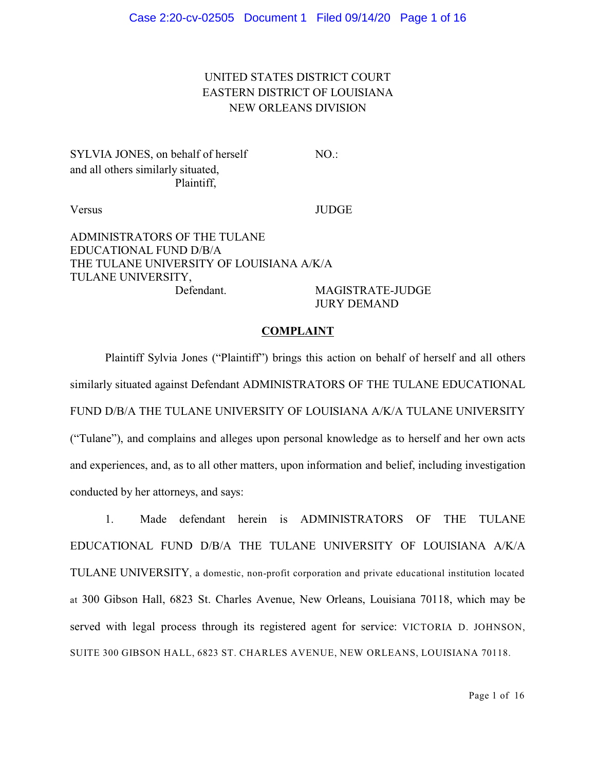# UNITED STATES DISTRICT COURT EASTERN DISTRICT OF LOUISIANA NEW ORLEANS DIVISION

SYLVIA JONES, on behalf of herself NO.: and all others similarly situated, Plaintiff,

Versus JUDGE

ADMINISTRATORS OF THE TULANE EDUCATIONAL FUND D/B/A THE TULANE UNIVERSITY OF LOUISIANA A/K/A TULANE UNIVERSITY, Defendant. MAGISTRATE-JUDGE

JURY DEMAND

#### **COMPLAINT**

Plaintiff Sylvia Jones ("Plaintiff") brings this action on behalf of herself and all others similarly situated against Defendant ADMINISTRATORS OF THE TULANE EDUCATIONAL FUND D/B/A THE TULANE UNIVERSITY OF LOUISIANA A/K/A TULANE UNIVERSITY ("Tulane"), and complains and alleges upon personal knowledge as to herself and her own acts and experiences, and, as to all other matters, upon information and belief, including investigation conducted by her attorneys, and says:

1. Made defendant herein is ADMINISTRATORS OF THE TULANE EDUCATIONAL FUND D/B/A THE TULANE UNIVERSITY OF LOUISIANA A/K/A TULANE UNIVERSITY, a domestic, non-profit corporation and private educational institution located at 300 Gibson Hall, 6823 St. Charles Avenue, New Orleans, Louisiana 70118, which may be served with legal process through its registered agent for service: VICTORIA D. JOHNSON, SUITE 300 GIBSON HALL, 6823 ST. CHARLES AVENUE, NEW ORLEANS, LOUISIANA 70118.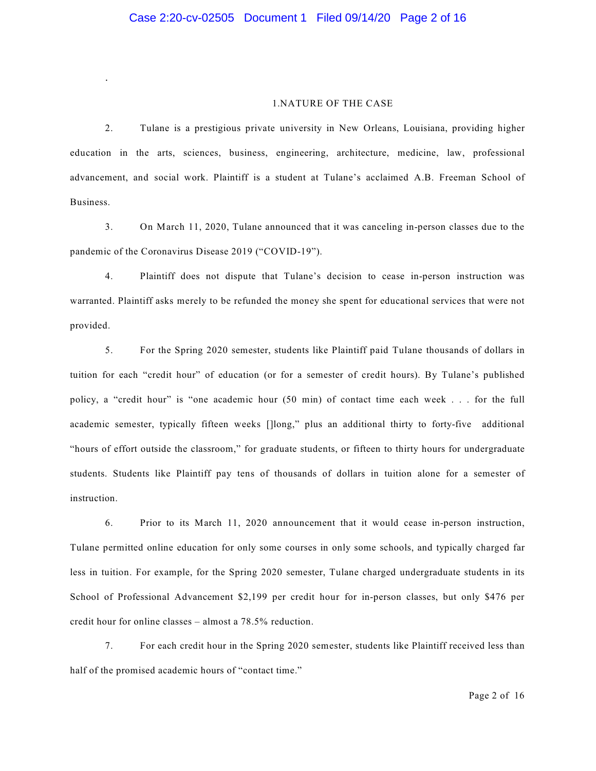.

#### 1.NATURE OF THE CASE

2. Tulane is a prestigious private university in New Orleans, Louisiana, providing higher education in the arts, sciences, business, engineering, architecture, medicine, law, professional advancement, and social work. Plaintiff is a student at Tulane's acclaimed A.B. Freeman School of Business.

3. On March 11, 2020, Tulane announced that it was canceling in-person classes due to the pandemic of the Coronavirus Disease 2019 ("COVID-19").

4. Plaintiff does not dispute that Tulane's decision to cease in-person instruction was warranted. Plaintiff asks merely to be refunded the money she spent for educational services that were not provided.

5. For the Spring 2020 semester, students like Plaintiff paid Tulane thousands of dollars in tuition for each "credit hour" of education (or for a semester of credit hours). By Tulane's published policy, a "credit hour" is "one academic hour (50 min) of contact time each week . . . for the full academic semester, typically fifteen weeks []long," plus an additional thirty to forty-five additional "hours of effort outside the classroom," for graduate students, or fifteen to thirty hours for undergraduate students. Students like Plaintiff pay tens of thousands of dollars in tuition alone for a semester of instruction.

6. Prior to its March 11, 2020 announcement that it would cease in-person instruction, Tulane permitted online education for only some courses in only some schools, and typically charged far less in tuition. For example, for the Spring 2020 semester, Tulane charged undergraduate students in its School of Professional Advancement \$2,199 per credit hour for in-person classes, but only \$476 per credit hour for online classes – almost a 78.5% reduction.

7. For each credit hour in the Spring 2020 semester, students like Plaintiff received less than half of the promised academic hours of "contact time."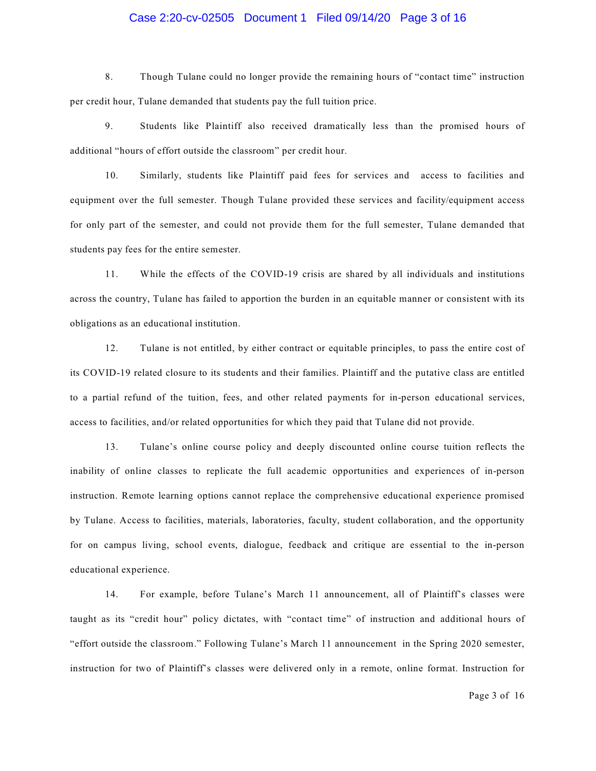### Case 2:20-cv-02505 Document 1 Filed 09/14/20 Page 3 of 16

8. Though Tulane could no longer provide the remaining hours of "contact time" instruction per credit hour, Tulane demanded that students pay the full tuition price.

9. Students like Plaintiff also received dramatically less than the promised hours of additional "hours of effort outside the classroom" per credit hour.

10. Similarly, students like Plaintiff paid fees for services and access to facilities and equipment over the full semester. Though Tulane provided these services and facility/equipment access for only part of the semester, and could not provide them for the full semester, Tulane demanded that students pay fees for the entire semester.

11. While the effects of the COVID-19 crisis are shared by all individuals and institutions across the country, Tulane has failed to apportion the burden in an equitable manner or consistent with its obligations as an educational institution.

12. Tulane is not entitled, by either contract or equitable principles, to pass the entire cost of its COVID-19 related closure to its students and their families. Plaintiff and the putative class are entitled to a partial refund of the tuition, fees, and other related payments for in-person educational services, access to facilities, and/or related opportunities for which they paid that Tulane did not provide.

13. Tulane's online course policy and deeply discounted online course tuition reflects the inability of online classes to replicate the full academic opportunities and experiences of in-person instruction. Remote learning options cannot replace the comprehensive educational experience promised by Tulane. Access to facilities, materials, laboratories, faculty, student collaboration, and the opportunity for on campus living, school events, dialogue, feedback and critique are essential to the in-person educational experience.

14. For example, before Tulane's March 11 announcement, all of Plaintiff's classes were taught as its "credit hour" policy dictates, with "contact time" of instruction and additional hours of "effort outside the classroom." Following Tulane's March 11 announcement in the Spring 2020 semester, instruction for two of Plaintiff's classes were delivered only in a remote, online format. Instruction for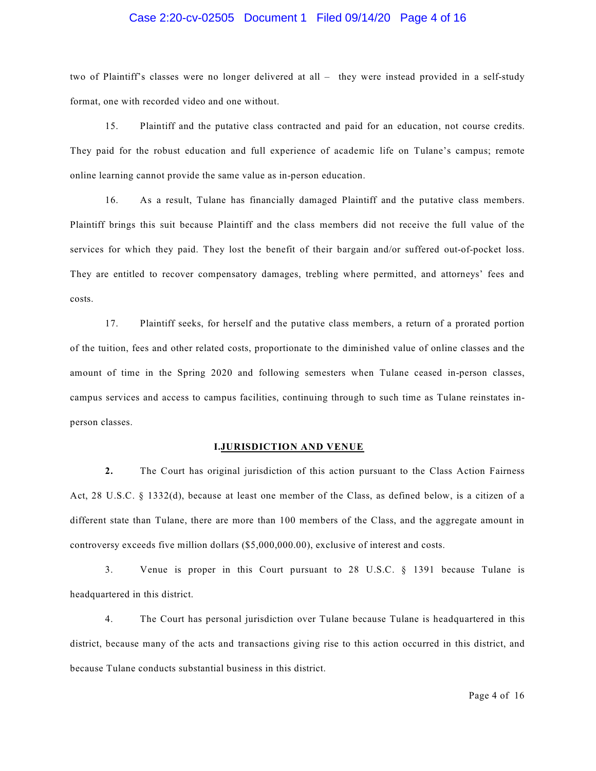# Case 2:20-cv-02505 Document 1 Filed 09/14/20 Page 4 of 16

two of Plaintiff's classes were no longer delivered at all – they were instead provided in a self-study format, one with recorded video and one without.

15. Plaintiff and the putative class contracted and paid for an education, not course credits. They paid for the robust education and full experience of academic life on Tulane's campus; remote online learning cannot provide the same value as in-person education.

16. As a result, Tulane has financially damaged Plaintiff and the putative class members. Plaintiff brings this suit because Plaintiff and the class members did not receive the full value of the services for which they paid. They lost the benefit of their bargain and/or suffered out-of-pocket loss. They are entitled to recover compensatory damages, trebling where permitted, and attorneys' fees and costs.

17. Plaintiff seeks, for herself and the putative class members, a return of a prorated portion of the tuition, fees and other related costs, proportionate to the diminished value of online classes and the amount of time in the Spring 2020 and following semesters when Tulane ceased in-person classes, campus services and access to campus facilities, continuing through to such time as Tulane reinstates inperson classes.

#### **I.JURISDICTION AND VENUE**

**2.** The Court has original jurisdiction of this action pursuant to the Class Action Fairness Act, 28 U.S.C. § 1332(d), because at least one member of the Class, as defined below, is a citizen of a different state than Tulane, there are more than 100 members of the Class, and the aggregate amount in controversy exceeds five million dollars (\$5,000,000.00), exclusive of interest and costs.

3. Venue is proper in this Court pursuant to 28 U.S.C. § 1391 because Tulane is headquartered in this district.

4. The Court has personal jurisdiction over Tulane because Tulane is headquartered in this district, because many of the acts and transactions giving rise to this action occurred in this district, and because Tulane conducts substantial business in this district.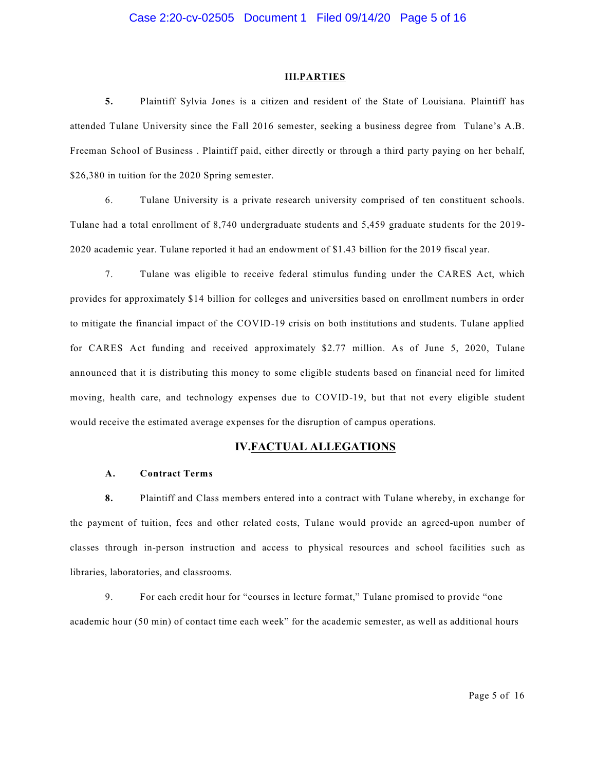#### **III.PARTIES**

**5.** Plaintiff Sylvia Jones is a citizen and resident of the State of Louisiana. Plaintiff has attended Tulane University since the Fall 2016 semester, seeking a business degree from Tulane's A.B. Freeman School of Business . Plaintiff paid, either directly or through a third party paying on her behalf, \$26,380 in tuition for the 2020 Spring semester.

6. Tulane University is a private research university comprised of ten constituent schools. Tulane had a total enrollment of 8,740 undergraduate students and 5,459 graduate students for the 2019- 2020 academic year. Tulane reported it had an endowment of \$1.43 billion for the 2019 fiscal year.

7. Tulane was eligible to receive federal stimulus funding under the CARES Act, which provides for approximately \$14 billion for colleges and universities based on enrollment numbers in order to mitigate the financial impact of the COVID-19 crisis on both institutions and students. Tulane applied for CARES Act funding and received approximately \$2.77 million. As of June 5, 2020, Tulane announced that it is distributing this money to some eligible students based on financial need for limited moving, health care, and technology expenses due to COVID-19, but that not every eligible student would receive the estimated average expenses for the disruption of campus operations.

#### **IV.FACTUAL ALLEGATIONS**

#### **A. Contract Terms**

**8.** Plaintiff and Class members entered into a contract with Tulane whereby, in exchange for the payment of tuition, fees and other related costs, Tulane would provide an agreed-upon number of classes through in-person instruction and access to physical resources and school facilities such as libraries, laboratories, and classrooms.

9. For each credit hour for "courses in lecture format," Tulane promised to provide "one academic hour (50 min) of contact time each week" for the academic semester, as well as additional hours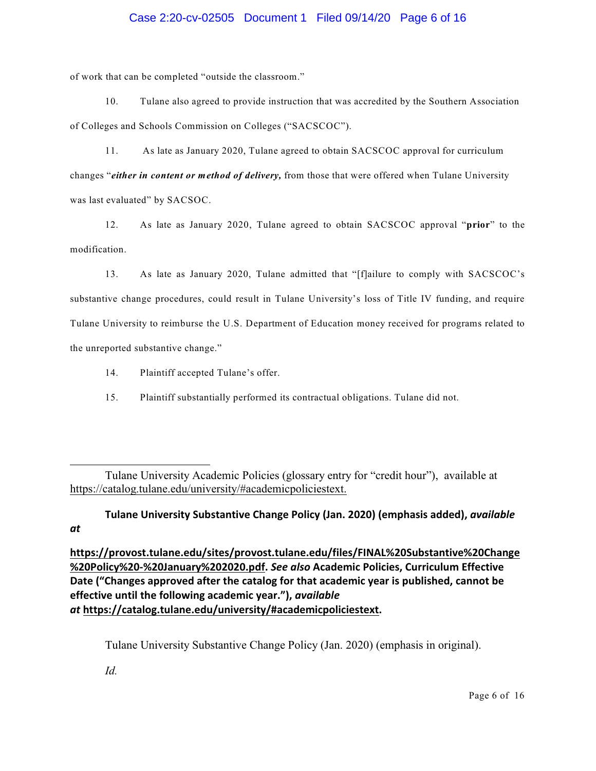# Case 2:20-cv-02505 Document 1 Filed 09/14/20 Page 6 of 16

of work that can be completed "outside the classroom."

10. Tulane also agreed to provide instruction that was accredited by the Southern Association of Colleges and Schools Commission on Colleges ("SACSCOC").

11. As late as January 2020, Tulane agreed to obtain SACSCOC approval for curriculum changes "*either in content or method of delivery,* from those that were offered when Tulane University was last evaluated" by SACSOC.

12. As late as January 2020, Tulane agreed to obtain SACSCOC approval "**prior**" to the modification.

13. As late as January 2020, Tulane admitted that "[f]ailure to comply with SACSCOC's substantive change procedures, could result in Tulane University's loss of Title IV funding, and require Tulane University to reimburse the U.S. Department of Education money received for programs related to the unreported substantive change."

14. Plaintiff accepted Tulane's offer.

15. Plaintiff substantially performed its contractual obligations. Tulane did not.

**Tulane University Substantive Change Policy (Jan. 2020) (emphasis added),** *available at*

**[https://provost.tulane.edu/sites/provost.tulane.edu/files/FINAL%20Substantive%20Change](https://provost.tulane.edu/sites/provost.tulane.edu/files/FINAL%20Substantive%20Chang) [%20Policy%20-%20January%202020.pdf](https://provost.tulane.edu/sites/provost.tulane.edu/files/FINAL%20Substantive%20Chang).** *See also* **Academic Policies, Curriculum Effective Date ("Changes approved after the catalog for that academic year is published, cannot be effective until the following academic year."),** *available at* **[https://catalog.tulane.edu/university/#academicpoliciestext](https://catalog.tulane.edu/university/).**

Tulane University Substantive Change Policy (Jan. 2020) (emphasis in original).

*Id.*

Tulane University Academic Policies (glossary entry for "credit hour"), available at <https://catalog.tulane.edu/university/#academicpoliciestext.>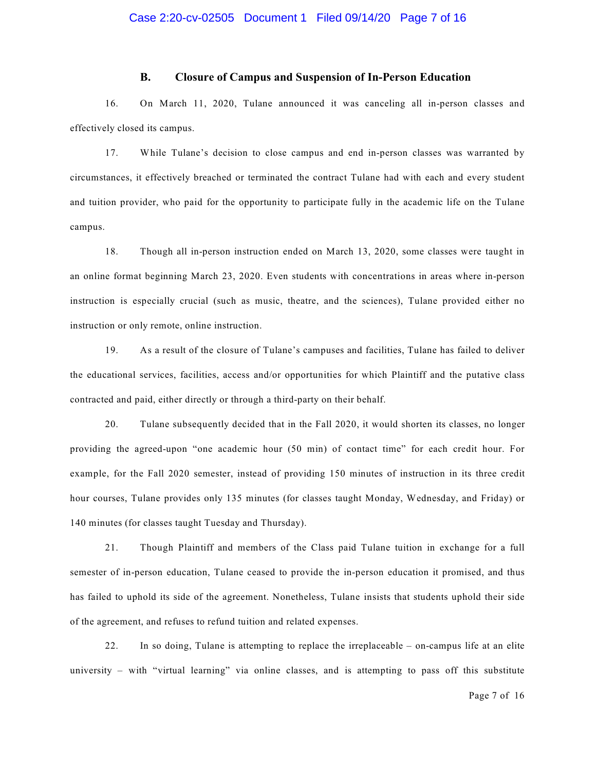#### **B. Closure of Campus and Suspension of In-Person Education**

16. On March 11, 2020, Tulane announced it was canceling all in-person classes and effectively closed its campus.

17. While Tulane's decision to close campus and end in-person classes was warranted by circumstances, it effectively breached or terminated the contract Tulane had with each and every student and tuition provider, who paid for the opportunity to participate fully in the academic life on the Tulane campus.

18. Though all in-person instruction ended on March 13, 2020, some classes were taught in an online format beginning March 23, 2020. Even students with concentrations in areas where in-person instruction is especially crucial (such as music, theatre, and the sciences), Tulane provided either no instruction or only remote, online instruction.

19. As a result of the closure of Tulane's campuses and facilities, Tulane has failed to deliver the educational services, facilities, access and/or opportunities for which Plaintiff and the putative class contracted and paid, either directly or through a third-party on their behalf.

20. Tulane subsequently decided that in the Fall 2020, it would shorten its classes, no longer providing the agreed-upon "one academic hour (50 min) of contact time" for each credit hour. For example, for the Fall 2020 semester, instead of providing 150 minutes of instruction in its three credit hour courses, Tulane provides only 135 minutes (for classes taught Monday, Wednesday, and Friday) or 140 minutes (for classes taught Tuesday and Thursday).

21. Though Plaintiff and members of the Class paid Tulane tuition in exchange for a full semester of in-person education, Tulane ceased to provide the in-person education it promised, and thus has failed to uphold its side of the agreement. Nonetheless, Tulane insists that students uphold their side of the agreement, and refuses to refund tuition and related expenses.

22. In so doing, Tulane is attempting to replace the irreplaceable – on-campus life at an elite university – with "virtual learning" via online classes, and is attempting to pass off this substitute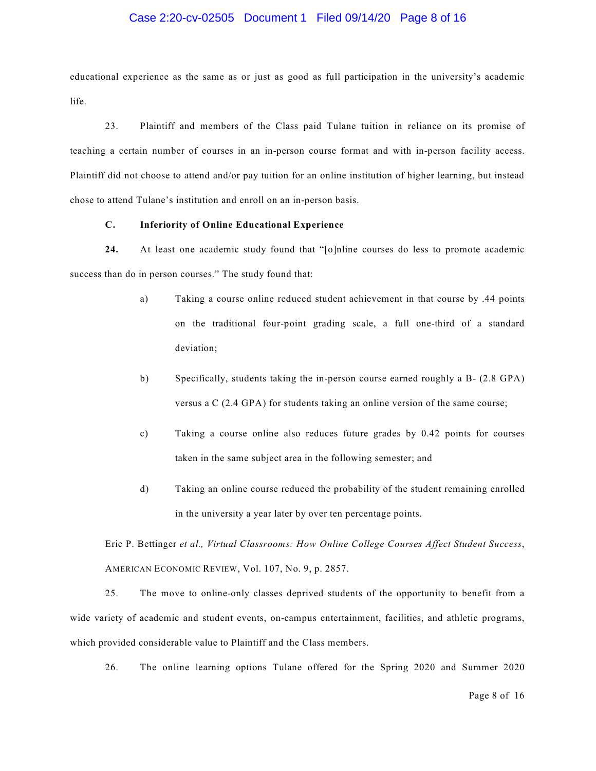#### Case 2:20-cv-02505 Document 1 Filed 09/14/20 Page 8 of 16

educational experience as the same as or just as good as full participation in the university's academic life.

23. Plaintiff and members of the Class paid Tulane tuition in reliance on its promise of teaching a certain number of courses in an in-person course format and with in-person facility access. Plaintiff did not choose to attend and/or pay tuition for an online institution of higher learning, but instead chose to attend Tulane's institution and enroll on an in-person basis.

#### **C. Inferiority of Online Educational Experience**

**24.** At least one academic study found that "[o]nline courses do less to promote academic success than do in person courses." The study found that:

- a) Taking a course online reduced student achievement in that course by .44 points on the traditional four-point grading scale, a full one-third of a standard deviation;
- b) Specifically, students taking the in-person course earned roughly a B- (2.8 GPA) versus a C (2.4 GPA) for students taking an online version of the same course;
- c) Taking a course online also reduces future grades by 0.42 points for courses taken in the same subject area in the following semester; and
- d) Taking an online course reduced the probability of the student remaining enrolled in the university a year later by over ten percentage points.

Eric P. Bettinger *et al., Virtual Classrooms: How Online College Courses Affect Student Success*, AMERICAN ECONOMIC REVIEW, Vol. 107, No. 9, p. 2857.

25. The move to online-only classes deprived students of the opportunity to benefit from a wide variety of academic and student events, on-campus entertainment, facilities, and athletic programs, which provided considerable value to Plaintiff and the Class members.

26. The online learning options Tulane offered for the Spring 2020 and Summer 2020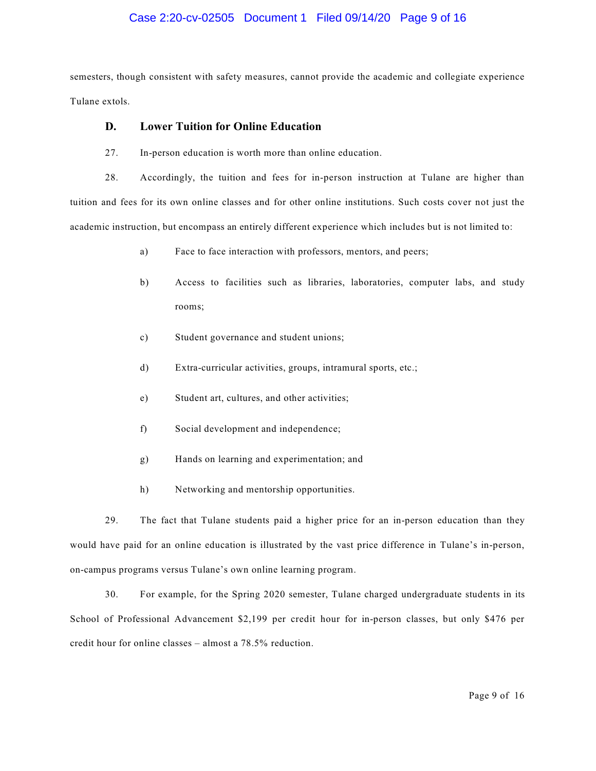#### Case 2:20-cv-02505 Document 1 Filed 09/14/20 Page 9 of 16

semesters, though consistent with safety measures, cannot provide the academic and collegiate experience Tulane extols.

#### **D. Lower Tuition for Online Education**

27. In-person education is worth more than online education.

28. Accordingly, the tuition and fees for in-person instruction at Tulane are higher than tuition and fees for its own online classes and for other online institutions. Such costs cover not just the academic instruction, but encompass an entirely different experience which includes but is not limited to:

- a) Face to face interaction with professors, mentors, and peers;
- b) Access to facilities such as libraries, laboratories, computer labs, and study rooms;
- c) Student governance and student unions;
- d) Extra-curricular activities, groups, intramural sports, etc.;
- e) Student art, cultures, and other activities;
- f) Social development and independence;
- g) Hands on learning and experimentation; and
- h) Networking and mentorship opportunities.

29. The fact that Tulane students paid a higher price for an in-person education than they would have paid for an online education is illustrated by the vast price difference in Tulane's in-person, on-campus programs versus Tulane's own online learning program.

30. For example, for the Spring 2020 semester, Tulane charged undergraduate students in its School of Professional Advancement \$2,199 per credit hour for in-person classes, but only \$476 per credit hour for online classes – almost a 78.5% reduction.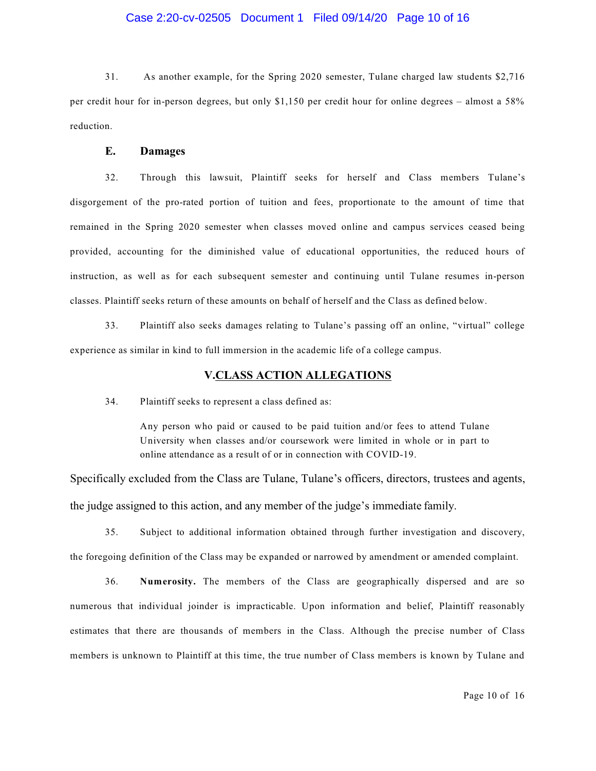## Case 2:20-cv-02505 Document 1 Filed 09/14/20 Page 10 of 16

31. As another example, for the Spring 2020 semester, Tulane charged law students \$2,716 per credit hour for in-person degrees, but only \$1,150 per credit hour for online degrees – almost a 58% reduction.

#### **E. Damages**

32. Through this lawsuit, Plaintiff seeks for herself and Class members Tulane's disgorgement of the pro-rated portion of tuition and fees, proportionate to the amount of time that remained in the Spring 2020 semester when classes moved online and campus services ceased being provided, accounting for the diminished value of educational opportunities, the reduced hours of instruction, as well as for each subsequent semester and continuing until Tulane resumes in-person classes. Plaintiff seeks return of these amounts on behalf of herself and the Class as defined below.

33. Plaintiff also seeks damages relating to Tulane's passing off an online, "virtual" college experience as similar in kind to full immersion in the academic life of a college campus.

### **V.CLASS ACTION ALLEGATIONS**

34. Plaintiff seeks to represent a class defined as:

Any person who paid or caused to be paid tuition and/or fees to attend Tulane University when classes and/or coursework were limited in whole or in part to online attendance as a result of or in connection with COVID-19.

Specifically excluded from the Class are Tulane, Tulane's officers, directors, trustees and agents, the judge assigned to this action, and any member of the judge's immediate family.

35. Subject to additional information obtained through further investigation and discovery, the foregoing definition of the Class may be expanded or narrowed by amendment or amended complaint.

36. **Numerosity.** The members of the Class are geographically dispersed and are so numerous that individual joinder is impracticable. Upon information and belief, Plaintiff reasonably estimates that there are thousands of members in the Class. Although the precise number of Class members is unknown to Plaintiff at this time, the true number of Class members is known by Tulane and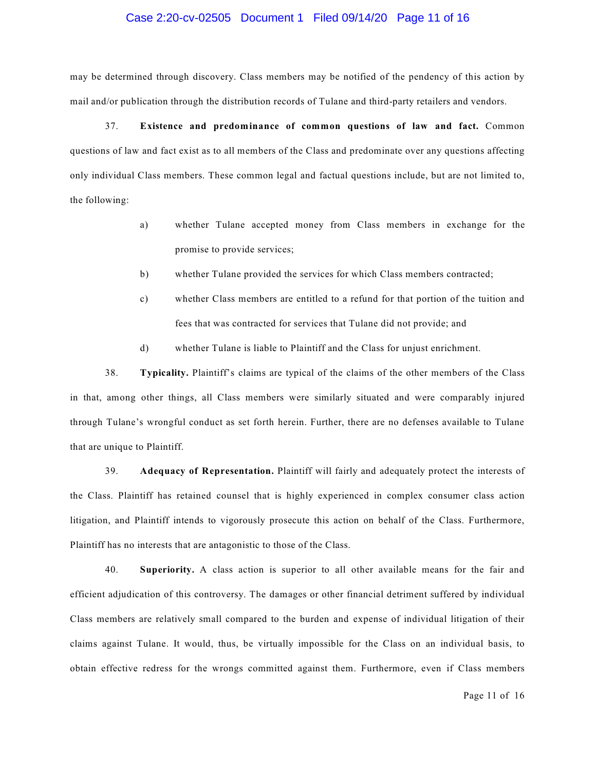#### Case 2:20-cv-02505 Document 1 Filed 09/14/20 Page 11 of 16

may be determined through discovery. Class members may be notified of the pendency of this action by mail and/or publication through the distribution records of Tulane and third-party retailers and vendors.

37. **Existence and predominance of common questions of law and fact.** Common questions of law and fact exist as to all members of the Class and predominate over any questions affecting only individual Class members. These common legal and factual questions include, but are not limited to, the following:

- a) whether Tulane accepted money from Class members in exchange for the promise to provide services;
- b) whether Tulane provided the services for which Class members contracted;
- c) whether Class members are entitled to a refund for that portion of the tuition and fees that was contracted for services that Tulane did not provide; and
- d) whether Tulane is liable to Plaintiff and the Class for unjust enrichment.

38. **Typicality.** Plaintiff's claims are typical of the claims of the other members of the Class in that, among other things, all Class members were similarly situated and were comparably injured through Tulane's wrongful conduct as set forth herein. Further, there are no defenses available to Tulane that are unique to Plaintiff.

39. **Adequacy of Representation.** Plaintiff will fairly and adequately protect the interests of the Class. Plaintiff has retained counsel that is highly experienced in complex consumer class action litigation, and Plaintiff intends to vigorously prosecute this action on behalf of the Class. Furthermore, Plaintiff has no interests that are antagonistic to those of the Class.

40. **Superiority.** A class action is superior to all other available means for the fair and efficient adjudication of this controversy. The damages or other financial detriment suffered by individual Class members are relatively small compared to the burden and expense of individual litigation of their claims against Tulane. It would, thus, be virtually impossible for the Class on an individual basis, to obtain effective redress for the wrongs committed against them. Furthermore, even if Class members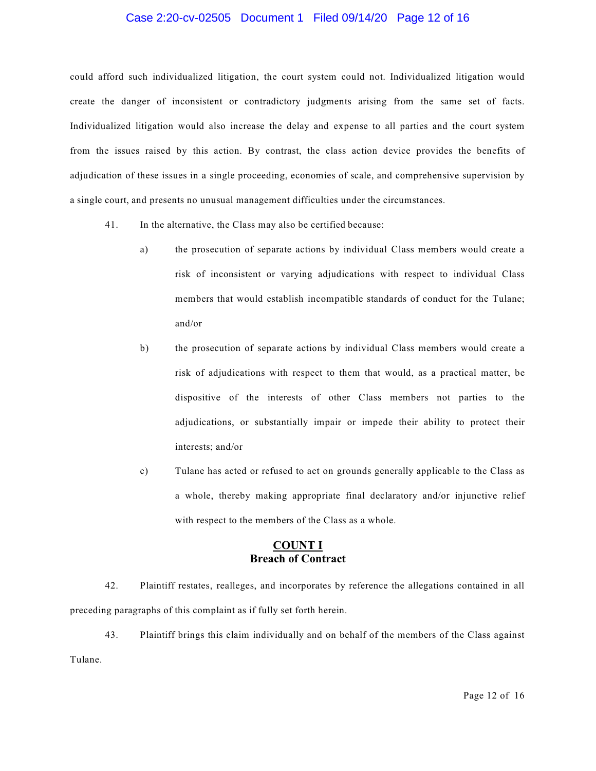## Case 2:20-cv-02505 Document 1 Filed 09/14/20 Page 12 of 16

could afford such individualized litigation, the court system could not. Individualized litigation would create the danger of inconsistent or contradictory judgments arising from the same set of facts. Individualized litigation would also increase the delay and expense to all parties and the court system from the issues raised by this action. By contrast, the class action device provides the benefits of adjudication of these issues in a single proceeding, economies of scale, and comprehensive supervision by a single court, and presents no unusual management difficulties under the circumstances.

- 41. In the alternative, the Class may also be certified because:
	- a) the prosecution of separate actions by individual Class members would create a risk of inconsistent or varying adjudications with respect to individual Class members that would establish incompatible standards of conduct for the Tulane; and/or
	- b) the prosecution of separate actions by individual Class members would create a risk of adjudications with respect to them that would, as a practical matter, be dispositive of the interests of other Class members not parties to the adjudications, or substantially impair or impede their ability to protect their interests; and/or
	- c) Tulane has acted or refused to act on grounds generally applicable to the Class as a whole, thereby making appropriate final declaratory and/or injunctive relief with respect to the members of the Class as a whole.

# **COUNT I Breach of Contract**

42. Plaintiff restates, realleges, and incorporates by reference the allegations contained in all preceding paragraphs of this complaint as if fully set forth herein.

43. Plaintiff brings this claim individually and on behalf of the members of the Class against Tulane.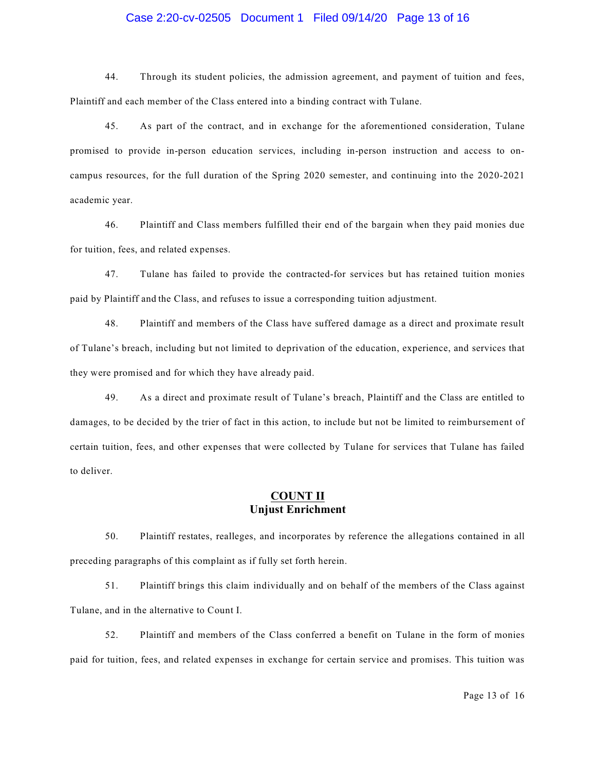## Case 2:20-cv-02505 Document 1 Filed 09/14/20 Page 13 of 16

44. Through its student policies, the admission agreement, and payment of tuition and fees, Plaintiff and each member of the Class entered into a binding contract with Tulane.

45. As part of the contract, and in exchange for the aforementioned consideration, Tulane promised to provide in-person education services, including in-person instruction and access to oncampus resources, for the full duration of the Spring 2020 semester, and continuing into the 2020-2021 academic year.

46. Plaintiff and Class members fulfilled their end of the bargain when they paid monies due for tuition, fees, and related expenses.

47. Tulane has failed to provide the contracted-for services but has retained tuition monies paid by Plaintiff and the Class, and refuses to issue a corresponding tuition adjustment.

48. Plaintiff and members of the Class have suffered damage as a direct and proximate result of Tulane's breach, including but not limited to deprivation of the education, experience, and services that they were promised and for which they have already paid.

49. As a direct and proximate result of Tulane's breach, Plaintiff and the Class are entitled to damages, to be decided by the trier of fact in this action, to include but not be limited to reimbursement of certain tuition, fees, and other expenses that were collected by Tulane for services that Tulane has failed to deliver.

# **COUNT II Unjust Enrichment**

50. Plaintiff restates, realleges, and incorporates by reference the allegations contained in all preceding paragraphs of this complaint as if fully set forth herein.

51. Plaintiff brings this claim individually and on behalf of the members of the Class against Tulane, and in the alternative to Count I.

52. Plaintiff and members of the Class conferred a benefit on Tulane in the form of monies paid for tuition, fees, and related expenses in exchange for certain service and promises. This tuition was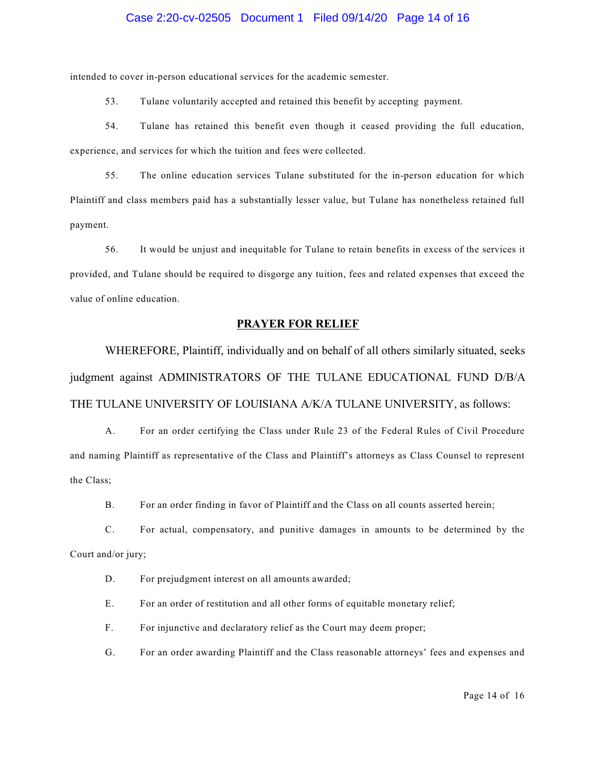#### Case 2:20-cv-02505 Document 1 Filed 09/14/20 Page 14 of 16

intended to cover in-person educational services for the academic semester.

53. Tulane voluntarily accepted and retained this benefit by accepting payment.

54. Tulane has retained this benefit even though it ceased providing the full education, experience, and services for which the tuition and fees were collected.

55. The online education services Tulane substituted for the in-person education for which Plaintiff and class members paid has a substantially lesser value, but Tulane has nonetheless retained full payment.

56. It would be unjust and inequitable for Tulane to retain benefits in excess of the services it provided, and Tulane should be required to disgorge any tuition, fees and related expenses that exceed the value of online education.

#### **PRAYER FOR RELIEF**

WHEREFORE, Plaintiff, individually and on behalf of all others similarly situated, seeks judgment against ADMINISTRATORS OF THE TULANE EDUCATIONAL FUND D/B/A THE TULANE UNIVERSITY OF LOUISIANA A/K/A TULANE UNIVERSITY, as follows:

A. For an order certifying the Class under Rule 23 of the Federal Rules of Civil Procedure and naming Plaintiff as representative of the Class and Plaintiff's attorneys as Class Counsel to represent the Class;

B. For an order finding in favor of Plaintiff and the Class on all counts asserted herein;

C. For actual, compensatory, and punitive damages in amounts to be determined by the Court and/or jury;

D. For prejudgment interest on all amounts awarded;

E. For an order of restitution and all other forms of equitable monetary relief;

F. For injunctive and declaratory relief as the Court may deem proper;

G. For an order awarding Plaintiff and the Class reasonable attorneys' fees and expenses and

Page 14 of 16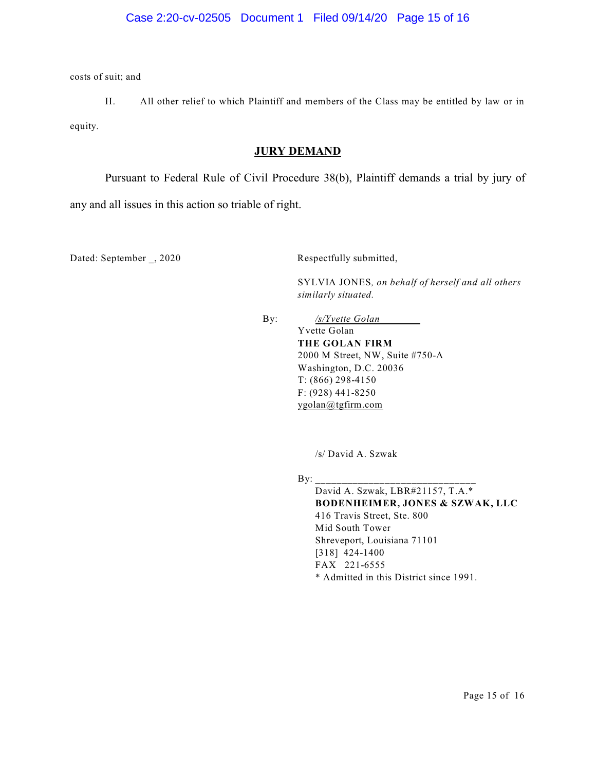costs of suit; and

H. All other relief to which Plaintiff and members of the Class may be entitled by law or in equity.

# **JURY DEMAND**

Pursuant to Federal Rule of Civil Procedure 38(b), Plaintiff demands a trial by jury of

any and all issues in this action so triable of right.

Dated: September , 2020 Respectfully submitted,

SYLVIA JONES*, on behalf of herself and all others similarly situated.*

By: */s/Yvette Golan* Yvette Golan **THE GOLAN FIRM** 2000 M Street, NW, Suite #750-A Washington, D.C. 20036 T: (866) 298-4150 F: (928) 441-8250

/s/ David A. Szwak

[ygolan@tgfirm.com](mailto:ygolan@tgfirm.com)

 $\mathbf{By:}$ 

David A. Szwak, LBR#21157, T.A.\* **BODENHEIMER, JONES & SZWAK, LLC** 416 Travis Street, Ste. 800 Mid South Tower Shreveport, Louisiana 71101 [318] 424-1400 FAX 221-6555 \* Admitted in this District since 1991.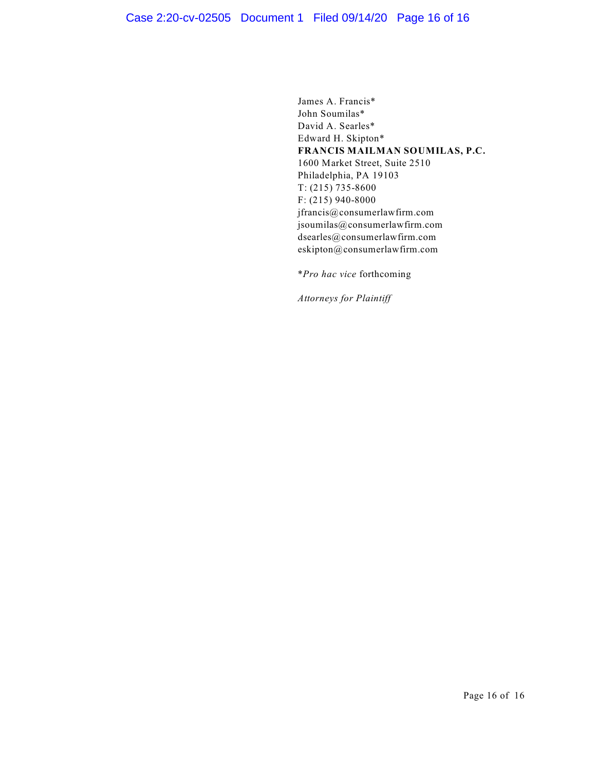James A. Francis\* John Soumilas\* David A. Searles\* Edward H. Skipton\* **FRANCIS MAILMAN SOUMILAS, P.C.** 1600 Market Street, Suite 2510 Philadelphia, PA 19103 T: (215) 735-8600 F: (215) 940-8000 jfrancis@consumerlawfirm.com jsoumilas@consumerlawfirm.com dsearles@consumerlawfirm.com eskipton@consumerlawfirm.com

\**Pro hac vice* forthcoming

*Attorneys for Plaintiff*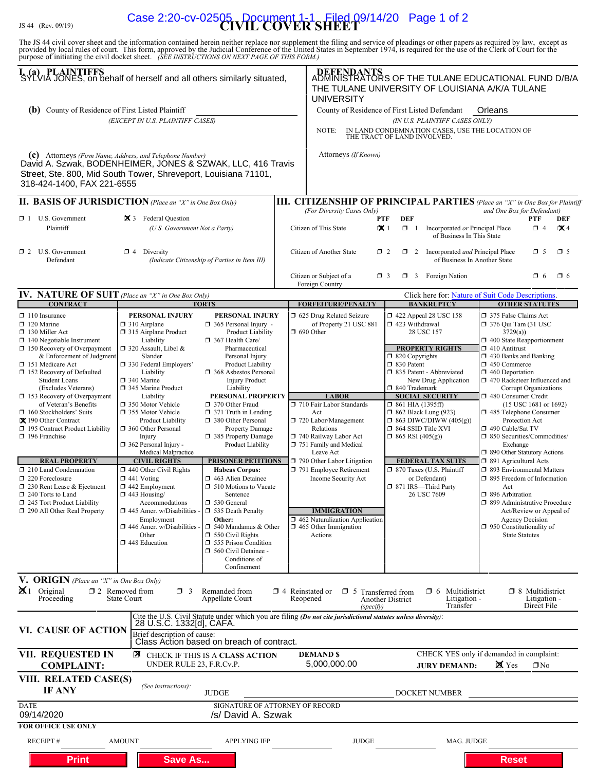# JS 44 (Rev. 09/19) **CIVIL COVER SHEET** Case 2:20-cv-02505 Document 1-1 Filed 09/14/20 Page 1 of 2

The JS 44 civil cover sheet and the information contained herein neither replace nor supplement the filing and service of pleadings or other papers as required by law, except as provided by local rules of court. This form,

| I. (a) PLAINTIFFS<br>SYLVIA JONES, on behalf of herself and all others similarly situated,                                                                                                                                                                                                                                                                                                                                                                                                                                                                                                                                                                         | DEFENDANTS<br>ADMINISTRATORS OF THE TULANE EDUCATIONAL FUND D/B/A<br>THE TULANE UNIVERSITY OF LOUISIANA A/K/A TULANE<br><b>UNIVERSITY</b>                                                                                                                                                                                                                                                                                                                                                                                                                                                                                                                     |                                                                                                                                                                                                                                                                                                                                                                                                                                                                                                                                                                                                                                                   |                                                                                                                                                  |                                                                                                                                                                                                                                                                                                                                                                                                                       |                                                                                                                                                                                                                                                                                                                                                                                                                                                                                                      |                                                                 |                                                                                                                                                                                                                                                                                                                                                                                                                                                                                                                                                                                                                                                                                                                                          |                                                       |          |  |
|--------------------------------------------------------------------------------------------------------------------------------------------------------------------------------------------------------------------------------------------------------------------------------------------------------------------------------------------------------------------------------------------------------------------------------------------------------------------------------------------------------------------------------------------------------------------------------------------------------------------------------------------------------------------|---------------------------------------------------------------------------------------------------------------------------------------------------------------------------------------------------------------------------------------------------------------------------------------------------------------------------------------------------------------------------------------------------------------------------------------------------------------------------------------------------------------------------------------------------------------------------------------------------------------------------------------------------------------|---------------------------------------------------------------------------------------------------------------------------------------------------------------------------------------------------------------------------------------------------------------------------------------------------------------------------------------------------------------------------------------------------------------------------------------------------------------------------------------------------------------------------------------------------------------------------------------------------------------------------------------------------|--------------------------------------------------------------------------------------------------------------------------------------------------|-----------------------------------------------------------------------------------------------------------------------------------------------------------------------------------------------------------------------------------------------------------------------------------------------------------------------------------------------------------------------------------------------------------------------|------------------------------------------------------------------------------------------------------------------------------------------------------------------------------------------------------------------------------------------------------------------------------------------------------------------------------------------------------------------------------------------------------------------------------------------------------------------------------------------------------|-----------------------------------------------------------------|------------------------------------------------------------------------------------------------------------------------------------------------------------------------------------------------------------------------------------------------------------------------------------------------------------------------------------------------------------------------------------------------------------------------------------------------------------------------------------------------------------------------------------------------------------------------------------------------------------------------------------------------------------------------------------------------------------------------------------------|-------------------------------------------------------|----------|--|
| <b>(b)</b> County of Residence of First Listed Plaintiff                                                                                                                                                                                                                                                                                                                                                                                                                                                                                                                                                                                                           |                                                                                                                                                                                                                                                                                                                                                                                                                                                                                                                                                                                                                                                               |                                                                                                                                                                                                                                                                                                                                                                                                                                                                                                                                                                                                                                                   |                                                                                                                                                  | County of Residence of First Listed Defendant                                                                                                                                                                                                                                                                                                                                                                         |                                                                                                                                                                                                                                                                                                                                                                                                                                                                                                      |                                                                 | Orleans                                                                                                                                                                                                                                                                                                                                                                                                                                                                                                                                                                                                                                                                                                                                  |                                                       |          |  |
| (EXCEPT IN U.S. PLAINTIFF CASES)                                                                                                                                                                                                                                                                                                                                                                                                                                                                                                                                                                                                                                   |                                                                                                                                                                                                                                                                                                                                                                                                                                                                                                                                                                                                                                                               |                                                                                                                                                                                                                                                                                                                                                                                                                                                                                                                                                                                                                                                   |                                                                                                                                                  |                                                                                                                                                                                                                                                                                                                                                                                                                       |                                                                                                                                                                                                                                                                                                                                                                                                                                                                                                      | (IN U.S. PLAINTIFF CASES ONLY)                                  |                                                                                                                                                                                                                                                                                                                                                                                                                                                                                                                                                                                                                                                                                                                                          |                                                       |          |  |
|                                                                                                                                                                                                                                                                                                                                                                                                                                                                                                                                                                                                                                                                    |                                                                                                                                                                                                                                                                                                                                                                                                                                                                                                                                                                                                                                                               |                                                                                                                                                                                                                                                                                                                                                                                                                                                                                                                                                                                                                                                   |                                                                                                                                                  | IN LAND CONDEMNATION CASES, USE THE LOCATION OF<br>NOTE:<br>THE TRACT OF LAND INVOLVED.                                                                                                                                                                                                                                                                                                                               |                                                                                                                                                                                                                                                                                                                                                                                                                                                                                                      |                                                                 |                                                                                                                                                                                                                                                                                                                                                                                                                                                                                                                                                                                                                                                                                                                                          |                                                       |          |  |
| (c) Attorneys (Firm Name, Address, and Telephone Number)<br>David A. Szwak, BODENHEIMER, JONES & SZWAK, LLC, 416 Travis<br>Street, Ste. 800, Mid South Tower, Shreveport, Louisiana 71101,<br>318-424-1400, FAX 221-6555                                                                                                                                                                                                                                                                                                                                                                                                                                           |                                                                                                                                                                                                                                                                                                                                                                                                                                                                                                                                                                                                                                                               |                                                                                                                                                                                                                                                                                                                                                                                                                                                                                                                                                                                                                                                   |                                                                                                                                                  | Attorneys (If Known)                                                                                                                                                                                                                                                                                                                                                                                                  |                                                                                                                                                                                                                                                                                                                                                                                                                                                                                                      |                                                                 |                                                                                                                                                                                                                                                                                                                                                                                                                                                                                                                                                                                                                                                                                                                                          |                                                       |          |  |
| <b>II. BASIS OF JURISDICTION</b> (Place an "X" in One Box Only)                                                                                                                                                                                                                                                                                                                                                                                                                                                                                                                                                                                                    |                                                                                                                                                                                                                                                                                                                                                                                                                                                                                                                                                                                                                                                               |                                                                                                                                                                                                                                                                                                                                                                                                                                                                                                                                                                                                                                                   |                                                                                                                                                  | <b>III. CITIZENSHIP OF PRINCIPAL PARTIES</b> (Place an "X" in One Box for Plaintiff                                                                                                                                                                                                                                                                                                                                   |                                                                                                                                                                                                                                                                                                                                                                                                                                                                                                      |                                                                 |                                                                                                                                                                                                                                                                                                                                                                                                                                                                                                                                                                                                                                                                                                                                          |                                                       |          |  |
| $\Box$ 1 U.S. Government<br>Plaintiff                                                                                                                                                                                                                                                                                                                                                                                                                                                                                                                                                                                                                              | 区 3 Federal Question<br>(U.S. Government Not a Party)                                                                                                                                                                                                                                                                                                                                                                                                                                                                                                                                                                                                         |                                                                                                                                                                                                                                                                                                                                                                                                                                                                                                                                                                                                                                                   |                                                                                                                                                  | (For Diversity Cases Only)<br>and One Box for Defendant)<br><b>DEF</b><br>PTF<br>PTF<br>DEF<br>$\propto$ 1<br>Citizen of This State<br>$\Box$ 1<br>Incorporated or Principal Place<br>$\Box$ 4<br>$\mathbf{X}$ 4<br>of Business In This State                                                                                                                                                                         |                                                                                                                                                                                                                                                                                                                                                                                                                                                                                                      |                                                                 |                                                                                                                                                                                                                                                                                                                                                                                                                                                                                                                                                                                                                                                                                                                                          |                                                       |          |  |
| $\Box$ 2 U.S. Government<br>Defendant                                                                                                                                                                                                                                                                                                                                                                                                                                                                                                                                                                                                                              | $\Box$ 4 Diversity<br>(Indicate Citizenship of Parties in Item III)                                                                                                                                                                                                                                                                                                                                                                                                                                                                                                                                                                                           |                                                                                                                                                                                                                                                                                                                                                                                                                                                                                                                                                                                                                                                   | Citizen of Another State<br>$\Box$ 2 Incorporated <i>and</i> Principal Place<br>$\Box$ 5<br>$\Box$ 5<br>$\Box$ 2<br>of Business In Another State |                                                                                                                                                                                                                                                                                                                                                                                                                       |                                                                                                                                                                                                                                                                                                                                                                                                                                                                                                      |                                                                 |                                                                                                                                                                                                                                                                                                                                                                                                                                                                                                                                                                                                                                                                                                                                          |                                                       |          |  |
|                                                                                                                                                                                                                                                                                                                                                                                                                                                                                                                                                                                                                                                                    |                                                                                                                                                                                                                                                                                                                                                                                                                                                                                                                                                                                                                                                               |                                                                                                                                                                                                                                                                                                                                                                                                                                                                                                                                                                                                                                                   |                                                                                                                                                  | Citizen or Subject of a<br>Foreign Country                                                                                                                                                                                                                                                                                                                                                                            | $\Box$ 3                                                                                                                                                                                                                                                                                                                                                                                                                                                                                             | 3 Foreign Nation                                                |                                                                                                                                                                                                                                                                                                                                                                                                                                                                                                                                                                                                                                                                                                                                          | $\Box$ 6                                              | $\Box$ 6 |  |
| IV. NATURE OF SUIT (Place an "X" in One Box Only)                                                                                                                                                                                                                                                                                                                                                                                                                                                                                                                                                                                                                  |                                                                                                                                                                                                                                                                                                                                                                                                                                                                                                                                                                                                                                                               |                                                                                                                                                                                                                                                                                                                                                                                                                                                                                                                                                                                                                                                   |                                                                                                                                                  |                                                                                                                                                                                                                                                                                                                                                                                                                       |                                                                                                                                                                                                                                                                                                                                                                                                                                                                                                      |                                                                 | Click here for: Nature of Suit Code Descriptions.                                                                                                                                                                                                                                                                                                                                                                                                                                                                                                                                                                                                                                                                                        |                                                       |          |  |
| <b>CONTRACT</b>                                                                                                                                                                                                                                                                                                                                                                                                                                                                                                                                                                                                                                                    |                                                                                                                                                                                                                                                                                                                                                                                                                                                                                                                                                                                                                                                               | <b>TORTS</b>                                                                                                                                                                                                                                                                                                                                                                                                                                                                                                                                                                                                                                      |                                                                                                                                                  | <b>FORFEITURE/PENALTY</b>                                                                                                                                                                                                                                                                                                                                                                                             |                                                                                                                                                                                                                                                                                                                                                                                                                                                                                                      | <b>BANKRUPTCY</b>                                               |                                                                                                                                                                                                                                                                                                                                                                                                                                                                                                                                                                                                                                                                                                                                          | <b>OTHER STATUTES</b>                                 |          |  |
| $\Box$ 110 Insurance<br>$\Box$ 120 Marine<br>$\Box$ 130 Miller Act<br>$\Box$ 140 Negotiable Instrument<br>$\Box$ 150 Recovery of Overpayment<br>& Enforcement of Judgment<br>□ 151 Medicare Act<br>□ 152 Recovery of Defaulted<br><b>Student Loans</b><br>(Excludes Veterans)<br>$\Box$ 153 Recovery of Overpayment<br>of Veteran's Benefits<br>$\Box$ 160 Stockholders' Suits<br>X 190 Other Contract<br>195 Contract Product Liability<br>$\Box$ 196 Franchise<br><b>REAL PROPERTY</b><br>210 Land Condemnation<br>$\Box$ 220 Foreclosure<br>230 Rent Lease & Ejectment<br>$\Box$ 240 Torts to Land<br>245 Tort Product Liability<br>290 All Other Real Property | PERSONAL INJURY<br>$\Box$ 310 Airplane<br>□ 315 Airplane Product<br>Liability<br>$\Box$ 320 Assault, Libel &<br>Slander<br>□ 330 Federal Employers'<br>Liability<br>$\Box$ 340 Marine<br>345 Marine Product<br>Liability<br>□ 350 Motor Vehicle<br>□ 355 Motor Vehicle<br><b>Product Liability</b><br><b>360 Other Personal</b><br>Injury<br>$\Box$ 362 Personal Injury -<br>Medical Malpractice<br><b>CIVIL RIGHTS</b><br>$\Box$ 440 Other Civil Rights<br>$\Box$ 441 Voting<br>$\Box$ 442 Employment<br>$\Box$ 443 Housing/<br>Accommodations<br>$\Box$ 445 Amer. w/Disabilities<br>Employment<br>$\Box$ 446 Amer. w/Disabilities<br>Other<br>448 Education | <b>PERSONAL INJURY</b><br>365 Personal Injury -<br>Product Liability<br>$\Box$ 367 Health Care/<br>Pharmaceutical<br>Personal Injury<br>Product Liability<br>□ 368 Asbestos Personal<br><b>Injury Product</b><br>Liability<br>PERSONAL PROPERTY<br>370 Other Fraud<br>$\Box$ 371 Truth in Lending<br>380 Other Personal<br>Property Damage<br>385 Property Damage<br>Product Liability<br><b>PRISONER PETITIONS</b><br><b>Habeas Corpus:</b><br>1463 Alien Detainee<br>$\Box$ 510 Motions to Vacate<br>Sentence<br>□ 530 General<br>535 Death Penalty<br>Other:<br>$\Box$ 540 Mandamus & Other<br>$\Box$ 550 Civil Rights<br>555 Prison Condition |                                                                                                                                                  | 5 625 Drug Related Seizure<br>of Property 21 USC 881<br>$\Box$ 690 Other<br><b>LABOR</b><br>710 Fair Labor Standards<br>Act<br>720 Labor/Management<br>Relations<br>740 Railway Labor Act<br>751 Family and Medical<br>Leave Act<br>790 Other Labor Litigation<br>791 Employee Retirement<br>Income Security Act<br><b>IMMIGRATION</b><br>□ 462 Naturalization Application<br>$\Box$ 465 Other Immigration<br>Actions | $\Box$ 422 Appeal 28 USC 158<br>□ 423 Withdrawal<br>28 USC 157<br><b>PROPERTY RIGHTS</b><br>$\Box$ 820 Copyrights<br>□ 830 Patent<br>335 Patent - Abbreviated<br>New Drug Application<br>□ 840 Trademark<br><b>SOCIAL SECURITY</b><br>$\Box$ 861 HIA (1395ff)<br>$\Box$ 862 Black Lung (923)<br>$\Box$ 863 DIWC/DIWW (405(g))<br>□ 864 SSID Title XVI<br>$\Box$ 865 RSI (405(g))<br><b>FEDERAL TAX SUITS</b><br>7 870 Taxes (U.S. Plaintiff<br>or Defendant)<br>□ 871 IRS-Third Party<br>26 USC 7609 |                                                                 | □ 375 False Claims Act<br>□ 376 Qui Tam (31 USC<br>3729(a)<br>1 400 State Reapportionment<br>$\Box$ 410 Antitrust<br>$\Box$ 430 Banks and Banking<br>$\Box$ 450 Commerce<br>$\Box$ 460 Deportation<br>□ 470 Racketeer Influenced and<br>Corrupt Organizations<br>480 Consumer Credit<br>$(15$ USC 1681 or 1692)<br>485 Telephone Consumer<br>Protection Act<br>□ 490 Cable/Sat TV<br>□ 850 Securities/Commodities/<br>Exchange<br>□ 890 Other Statutory Actions<br>□ 891 Agricultural Acts<br>□ 893 Environmental Matters<br>□ 895 Freedom of Information<br>Act<br>□ 896 Arbitration<br>□ 899 Administrative Procedure<br>Act/Review or Appeal of<br><b>Agency Decision</b><br>$\Box$ 950 Constitutionality of<br><b>State Statutes</b> |                                                       |          |  |
|                                                                                                                                                                                                                                                                                                                                                                                                                                                                                                                                                                                                                                                                    |                                                                                                                                                                                                                                                                                                                                                                                                                                                                                                                                                                                                                                                               | 560 Civil Detainee -<br>Conditions of<br>Confinement                                                                                                                                                                                                                                                                                                                                                                                                                                                                                                                                                                                              |                                                                                                                                                  |                                                                                                                                                                                                                                                                                                                                                                                                                       |                                                                                                                                                                                                                                                                                                                                                                                                                                                                                                      |                                                                 |                                                                                                                                                                                                                                                                                                                                                                                                                                                                                                                                                                                                                                                                                                                                          |                                                       |          |  |
| V. ORIGIN (Place an "X" in One Box Only)<br>$\mathbf{X}$ 1 Original<br>Proceeding                                                                                                                                                                                                                                                                                                                                                                                                                                                                                                                                                                                  | $\Box$ 2 Removed from<br>$\Box$ 3<br>State Court                                                                                                                                                                                                                                                                                                                                                                                                                                                                                                                                                                                                              | Remanded from<br>Appellate Court                                                                                                                                                                                                                                                                                                                                                                                                                                                                                                                                                                                                                  | $\Box$ 4 Reinstated or                                                                                                                           | $\Box$ 5<br>Reopened<br>(specify)                                                                                                                                                                                                                                                                                                                                                                                     | Transferred from<br><b>Another District</b>                                                                                                                                                                                                                                                                                                                                                                                                                                                          | Multidistrict<br>□ 6<br>Litigation -<br>Transfer                |                                                                                                                                                                                                                                                                                                                                                                                                                                                                                                                                                                                                                                                                                                                                          | $\Box$ 8 Multidistrict<br>Litigation -<br>Direct File |          |  |
| VI. CAUSE OF ACTION                                                                                                                                                                                                                                                                                                                                                                                                                                                                                                                                                                                                                                                | 28 U.S.C. 1332[d], CAFA.                                                                                                                                                                                                                                                                                                                                                                                                                                                                                                                                                                                                                                      |                                                                                                                                                                                                                                                                                                                                                                                                                                                                                                                                                                                                                                                   |                                                                                                                                                  | Cite the U.S. Civil Statute under which you are filing (Do not cite jurisdictional statutes unless diversity):                                                                                                                                                                                                                                                                                                        |                                                                                                                                                                                                                                                                                                                                                                                                                                                                                                      |                                                                 |                                                                                                                                                                                                                                                                                                                                                                                                                                                                                                                                                                                                                                                                                                                                          |                                                       |          |  |
|                                                                                                                                                                                                                                                                                                                                                                                                                                                                                                                                                                                                                                                                    | Brief description of cause:                                                                                                                                                                                                                                                                                                                                                                                                                                                                                                                                                                                                                                   | Class Action based on breach of contract.                                                                                                                                                                                                                                                                                                                                                                                                                                                                                                                                                                                                         |                                                                                                                                                  |                                                                                                                                                                                                                                                                                                                                                                                                                       |                                                                                                                                                                                                                                                                                                                                                                                                                                                                                                      |                                                                 |                                                                                                                                                                                                                                                                                                                                                                                                                                                                                                                                                                                                                                                                                                                                          |                                                       |          |  |
| <b>VII. REQUESTED IN</b><br><b>COMPLAINT:</b>                                                                                                                                                                                                                                                                                                                                                                                                                                                                                                                                                                                                                      | ⊠<br>UNDER RULE 23, F.R.Cv.P.                                                                                                                                                                                                                                                                                                                                                                                                                                                                                                                                                                                                                                 | CHECK IF THIS IS A CLASS ACTION                                                                                                                                                                                                                                                                                                                                                                                                                                                                                                                                                                                                                   |                                                                                                                                                  | <b>DEMAND \$</b><br>5,000,000.00                                                                                                                                                                                                                                                                                                                                                                                      |                                                                                                                                                                                                                                                                                                                                                                                                                                                                                                      | CHECK YES only if demanded in complaint:<br><b>JURY DEMAND:</b> | $\mathbf{X}$ Yes                                                                                                                                                                                                                                                                                                                                                                                                                                                                                                                                                                                                                                                                                                                         | $\Box$ No                                             |          |  |
| VIII. RELATED CASE(S)<br>IF ANY                                                                                                                                                                                                                                                                                                                                                                                                                                                                                                                                                                                                                                    | (See instructions):                                                                                                                                                                                                                                                                                                                                                                                                                                                                                                                                                                                                                                           | <b>JUDGE</b>                                                                                                                                                                                                                                                                                                                                                                                                                                                                                                                                                                                                                                      |                                                                                                                                                  |                                                                                                                                                                                                                                                                                                                                                                                                                       |                                                                                                                                                                                                                                                                                                                                                                                                                                                                                                      | DOCKET NUMBER                                                   |                                                                                                                                                                                                                                                                                                                                                                                                                                                                                                                                                                                                                                                                                                                                          |                                                       |          |  |
| <b>DATE</b><br>09/14/2020                                                                                                                                                                                                                                                                                                                                                                                                                                                                                                                                                                                                                                          |                                                                                                                                                                                                                                                                                                                                                                                                                                                                                                                                                                                                                                                               | SIGNATURE OF ATTORNEY OF RECORD<br>/s/ David A. Szwak                                                                                                                                                                                                                                                                                                                                                                                                                                                                                                                                                                                             |                                                                                                                                                  |                                                                                                                                                                                                                                                                                                                                                                                                                       |                                                                                                                                                                                                                                                                                                                                                                                                                                                                                                      |                                                                 |                                                                                                                                                                                                                                                                                                                                                                                                                                                                                                                                                                                                                                                                                                                                          |                                                       |          |  |
| <b>FOR OFFICE USE ONLY</b><br><b>RECEIPT#</b>                                                                                                                                                                                                                                                                                                                                                                                                                                                                                                                                                                                                                      | <b>AMOUNT</b>                                                                                                                                                                                                                                                                                                                                                                                                                                                                                                                                                                                                                                                 | <b>APPLYING IFP</b>                                                                                                                                                                                                                                                                                                                                                                                                                                                                                                                                                                                                                               |                                                                                                                                                  | <b>JUDGE</b>                                                                                                                                                                                                                                                                                                                                                                                                          |                                                                                                                                                                                                                                                                                                                                                                                                                                                                                                      | MAG. JUDGE                                                      |                                                                                                                                                                                                                                                                                                                                                                                                                                                                                                                                                                                                                                                                                                                                          |                                                       |          |  |
| <b>Print</b>                                                                                                                                                                                                                                                                                                                                                                                                                                                                                                                                                                                                                                                       | <b>Save As</b>                                                                                                                                                                                                                                                                                                                                                                                                                                                                                                                                                                                                                                                |                                                                                                                                                                                                                                                                                                                                                                                                                                                                                                                                                                                                                                                   |                                                                                                                                                  |                                                                                                                                                                                                                                                                                                                                                                                                                       |                                                                                                                                                                                                                                                                                                                                                                                                                                                                                                      |                                                                 | <b>Reset</b>                                                                                                                                                                                                                                                                                                                                                                                                                                                                                                                                                                                                                                                                                                                             |                                                       |          |  |